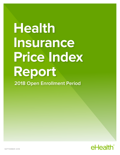# **Health Insurance Price Index Report 2018 Open Enrollment Period**

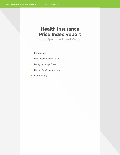## **Health Insurance Price Index Report**

2018 Open Enrollment Period

- 3 Introduction
- 4 Individual Coverage Costs
- 7 Family Coverage Costs
- 9 Overall Plan Selection Data
- 10 Methodology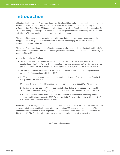## **Introduction**

eHealth's Health Insurance Price Index Report provides insight into major medical health plans purchased without federal subsidies through the company's online health insurance marketplace during the Affordable Care Act's (ACA's) 2018 open enrollment period, which ran from November 1 to December 15, 2017. Chief among the findings were increases in the average cost of health insurance premiums for nonsubsidized ACA-compliant health plans by double-digit percentages.

The intent of this analysis is to present a nationwide snapshot of decisions made by consumers who shopped outside the government marketplaces at eHealth and who pay the full cost of health plans without the assistance of government subsidies.

The annual Price Index Report is one of the few sources of information and analysis about cost trends for health insurance consumers who do not receive government subsidies, which comprise approximately 42 percent of the ACA market.

Among the report's key findings:

- \$440 was the average monthly premium for individual health insurance plans selected by unsubsidized eHealth customers. This represents a 16 percent increase over the prior year and a 62 percent increase from the 2014 open enrollment period, the first year ACA plans were available.
- The average premium for individual Bronze plans in 2018 was higher than the average individual premium for Platinum plans in 2014 and 2015.
- \$1,168 was the average monthly premium for a family health plan, a 17 percent increase from 2017 and a 75 percent jump from 2014.
- \$1,376 was the average monthly premium for a four-person family, or about \$16,500 annually.
- Deductible costs also rose in 2018. The average individual deductible increased by 3 percent from 2017 to \$4,578, while the average family deductible increased by 7 percent from 2017 to \$8,803.
- HMO-style health insurance plans accounted for 53 percent of all individual and family policies selected by eHealth customers for 2018. By contrast, in 2013 (the year before the ACA took effect), HMO-style plans accounted for only 35 percent.

eHealth is one of the largest private online health insurance marketplaces in the U.S., providing consumers with access to thousands of health plans offered by more than 180 health insurance companies. The company serves the needs of those eligible for ACA subsidies as well as those with annual incomes too high to qualify. The Price Index Report focuses on consumers who do not utilize subsidies.

Continued on the next page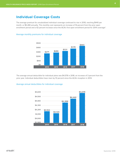## **Individual Coverage Costs**

The average premium for unsubsidized individual coverage continued to rise in 2018, reaching \$440 per month, or \$5,280 annually. This monthly cost represents an increase of 16 percent from the prior open enrollment period and a 62 percent increase since the ACA's first open enrollment period for 2014 coverage\*.

#### Average monthly premiums for individual coverage



The average annual deductible for individual plans was \$4,578 in 2018, an increase of 3 percent from the prior year. Individual deductibles have risen by 10 percent since the ACA's inception in 2014.

#### Average annual deductibles for individual coverage

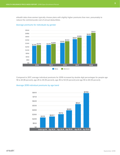eHealth data show women typically choose plans with slightly higher premiums than men, presumably to reduce the commensurate cost of annual deductibles.



### Average premiums for individuals by gender

Compared to 2017, average individual premiums for 2018 increased by double digit percentages for people age 18 to 24 (18 percent), age 25 to 34 (10 percent), age 45 to 54 (13 percent) and age 55 to 64 (14 percent).



#### Average 2018 individual premiums by age band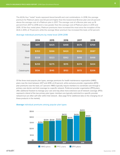The ACA's four "metal" levels represent tiered benefit and cost combinations. In 2018, the average premium for Platinum plans was 63 percent higher than the lowest-level Bronze plan and 23 percent above the average cost of a Platinum plan in 2017. The average cost of a Bronze plan was up 16 percent from 2017 to 2018 and is now greater than the average cost of Platinum plans in 2014 and 2015. Of the four metal plans, Platinum premiums have increased the most since the inception of the ACA in 2014, at 73 percent, while the average Silver premium has increased the least, at 52 percent.

|               | 2014  | 2015  | 2016  | 2017  | 2018  |
|---------------|-------|-------|-------|-------|-------|
| Platinum      | \$411 | \$425 | \$498 | \$575 | \$709 |
| Gold          | \$353 | \$366 | \$420 | \$502 | \$587 |
| Silver        | \$328 | \$323 | \$362 | \$418 | \$498 |
| <b>Bronze</b> | \$259 | \$275 | \$315 | \$374 | \$434 |
| Catastrophic  | \$134 | \$145 | \$153 | \$173 | \$206 |

#### Average individual premiums by metal level 2014-2018

Of the three most-popular plan types, average premiums for health maintenance organization (HMO) plans rose the most between 2017 and 2018, at 23 percent, while exclusive provider organization (EPO) plan premiums rose the least, at 7 percent. HMOs typically require members to coordinate care through a primary care doctor and limit coverage to a specific network. Preferred provider organization (PPO) plans offer additional freedom to manage your care and may allow more extensive out-of-network coverage. EPOs represent a blend of the two primary plan types: members are typically restricted to a specific provider network but can often self-refer within that network. (See page 10 for additional data on the changing mix of these products in the market).



#### **Average** individual premiums among popular plan types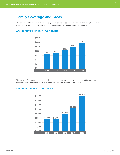## **Family Coverage and Costs**

The cost of family plans, which include any policy providing coverage for two or more people, continued their rise in 2018, climbing 17 percent from the previous year and up 75 percent since 2014\*.



#### **Average monthly premiums for family coverage**

The average family deductible rose by 7 percent last year, more than twice the rate of increase for individual policy deductibles, which climbed by 3 percent over the same period.

#### **Average deductibles for family coverage**

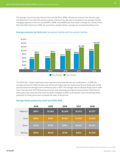The average cost of insuring a family of four was \$1,376 in 2018, a 15 percent increase from the prior year and 38 percent more than the cost of covering a family of two. By way of comparison, the average monthly mortgage payment in the U.S. was \$1,029' in 2018, nearly \$350 less than health coverage for a family of four. Since the ACA rolled out in 2014, the cost of four-member family coverage has increased by 60 percent.



#### **Average premiums by family size:** two-person families and four-person families

The ACA's four "metal" health plan levels represent tiered benefit and cost combinations. In 2018, the average premium for Platinum plans was 62 percent higher than the lowest-level Bronze family plan and 16 percent above the average cost of a Platinum plan in 2017. The average cost of a Bronze family plan in 2018 rose 17 percent from 2017. Bronze plans are the most commonly purchased among families. Premiums for these plans have risen the most since the ACA's inception in 2014, up 87 percent, while the average Silver premiums for family plans have increased the least, at 65 percent.

|               | 2014  | 2015    | 2016    | 2017    | 2018    |
|---------------|-------|---------|---------|---------|---------|
| Platinum      | \$997 | \$1,082 | \$1,268 | \$1,472 | \$1,707 |
| Gold          | \$864 | \$910   | \$1,061 | \$1,252 | \$1,435 |
| Silver        | \$762 | \$779   | \$882   | \$1,061 | \$1,257 |
| <b>Bronze</b> | \$565 | \$628   | \$739   | \$903   | \$1,056 |

#### **Average family premium by metal level 2014-2018**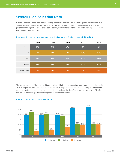## **Overall Plan Selection Data**

Bronze plans remain the most popular among individuals and families who don't qualify for subsidies, but Silver plan sales have increased overall since 2014 and now account for 30 percent of all ACA policies purchased through eHealth. Over the same period, demand for the other three metal plan-types - Platinum, Gold and Bronze - has fallen.

|               | 2014 | 2015 | 2016 | 2017 | 2018 |  |
|---------------|------|------|------|------|------|--|
| Platinum      | 5%   | 6%   | 3%   | 3%   | 2%   |  |
| Gold          | 14%  | 13%  | 12%  | 10%  | 12%  |  |
| Silver        | 21%  | 23%  | 29%  | 33%  | 30%  |  |
| <b>Bronze</b> | 47%  | 46%  | 44%  | 43%  | 43%  |  |
| Catastrophic  | 14%  | 12%  | 12%  | 11%  | 13%  |  |

#### **Plan selection percentage by metal level (individual and family combined) 2014-2018**

The percentage of families and individuals enrolled in HMOs rather than other plan types continued to rise in 2018 to 56 percent, while PPO demand remained flat at 22 percent of the market. The sharp decline of PPO sales – down from 46 percent of the market in 2014 – reflects the rise of so-called "narrow network" HMOs that limit enrollees to specific provider panels to better control costs.



#### **Rise and Fall of HMOs, PPOs and EPOs**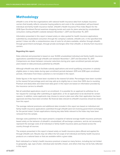## **Methodology**

eHealth is one of the few organizations with national health insurance data from multiple insurance carriers that broadly reflects consumer buying patterns and costs in the unsubsidized, self-purchased individual and family health insurance market. eHealth's Health Insurance Price Index Report for the 2018 Open Enrollment Period examines shopping trends and costs for plans selected by unsubsidized consumers visiting eHealth's website between November 1, 2017 and December 15, 2017.

Information presented in this report is based solely on rates quoted for health insurance applications submitted by unsubsidized consumers through the company's website, eHealth.com, in the specified time period. It does not offer a comprehensive view of costs for all plans available, whether through eHealth, through government exchanges, through private exchanges other than eHealth, or directly from insurance carriers.

#### **Regarding this report:**

Data collected and presented is based on over 14,000 unsubsidized individual and family health insurance applications submitted through eHealth.com between November 1, 2017 and December 15, 2017. Comparisons are drawn between consumer selections during prior open enrollment periods and plan years based on data previously published by eHealth.

Although eHealth was able to facilitate subsidy applications and enroll qualifying consumers in subsidyeligible plans in many states during open enrollment periods between 2015 and 2018 open enrollment periods, information from these customers is not included in this report.

Dollar figures in the report have been rounded to the nearest full dollar. Percentages have been rounded to the nearest full percentage point and may add up to slightly less or more than 100% due to rounding. Premium and deductible and metal level data given in this report are based on information provided by the insurance carriers to eHealth.

Not all submitted applications result in an enrollment. It is possible for an applicant to withdraw his or her request for coverage after submitting an application, or for an application to be declined for certain reasons. In addition, some applicants may choose to cancel a plan even after their application has been approved and they have been enrolled. No financial data relevant to eHealth's business should be drawn from this report.

The average national premiums and additional data included in this report are based on individual and family health insurance applications submitted through eHealth (and not involving government exchanges) for the period noted. Certain applications missing key data fields relevant to the Index may have been removed from the sample.

Average costs published in this report present a snapshot of national average health insurance premiums based solely on the behavior of eHealth's unsubsidized, off-exchange customers, and do not necessarily represent the average costs of all individual or family health insurance plans purchased across the country through all sources.

The analysis presented in this report is based solely on health insurance plans offered and applied for through eHealth.com. Results may not reflect the full scope of all individual and family health insurance products on a national basis or that are available within a given state.

Each individual's or family's health insurance premium is based on many factors, including but not limited to geography, age, type of plan, individual plan benefits chosen, and others that may not be fully reflected in this report.